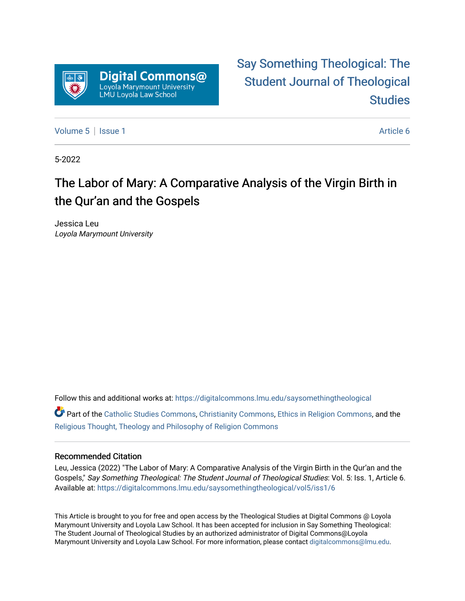

[Say Something Theological: The](https://digitalcommons.lmu.edu/saysomethingtheological)  [Student Journal of Theological](https://digitalcommons.lmu.edu/saysomethingtheological)  **Studies** 

[Volume 5](https://digitalcommons.lmu.edu/saysomethingtheological/vol5) | [Issue 1](https://digitalcommons.lmu.edu/saysomethingtheological/vol5/iss1) Article 6

5-2022

# The Labor of Mary: A Comparative Analysis of the Virgin Birth in the Qur'an and the Gospels

Jessica Leu Loyola Marymount University

Follow this and additional works at: [https://digitalcommons.lmu.edu/saysomethingtheological](https://digitalcommons.lmu.edu/saysomethingtheological?utm_source=digitalcommons.lmu.edu%2Fsaysomethingtheological%2Fvol5%2Fiss1%2F6&utm_medium=PDF&utm_campaign=PDFCoverPages)

Part of the [Catholic Studies Commons](http://network.bepress.com/hgg/discipline/1294?utm_source=digitalcommons.lmu.edu%2Fsaysomethingtheological%2Fvol5%2Fiss1%2F6&utm_medium=PDF&utm_campaign=PDFCoverPages), [Christianity Commons](http://network.bepress.com/hgg/discipline/1181?utm_source=digitalcommons.lmu.edu%2Fsaysomethingtheological%2Fvol5%2Fiss1%2F6&utm_medium=PDF&utm_campaign=PDFCoverPages), [Ethics in Religion Commons,](http://network.bepress.com/hgg/discipline/541?utm_source=digitalcommons.lmu.edu%2Fsaysomethingtheological%2Fvol5%2Fiss1%2F6&utm_medium=PDF&utm_campaign=PDFCoverPages) and the [Religious Thought, Theology and Philosophy of Religion Commons](http://network.bepress.com/hgg/discipline/544?utm_source=digitalcommons.lmu.edu%2Fsaysomethingtheological%2Fvol5%2Fiss1%2F6&utm_medium=PDF&utm_campaign=PDFCoverPages) 

#### Recommended Citation

Leu, Jessica (2022) "The Labor of Mary: A Comparative Analysis of the Virgin Birth in the Qur'an and the Gospels," Say Something Theological: The Student Journal of Theological Studies: Vol. 5: Iss. 1, Article 6. Available at: [https://digitalcommons.lmu.edu/saysomethingtheological/vol5/iss1/6](https://digitalcommons.lmu.edu/saysomethingtheological/vol5/iss1/6?utm_source=digitalcommons.lmu.edu%2Fsaysomethingtheological%2Fvol5%2Fiss1%2F6&utm_medium=PDF&utm_campaign=PDFCoverPages) 

This Article is brought to you for free and open access by the Theological Studies at Digital Commons @ Loyola Marymount University and Loyola Law School. It has been accepted for inclusion in Say Something Theological: The Student Journal of Theological Studies by an authorized administrator of Digital Commons@Loyola Marymount University and Loyola Law School. For more information, please contact [digitalcommons@lmu.edu](mailto:digitalcommons@lmu.edu).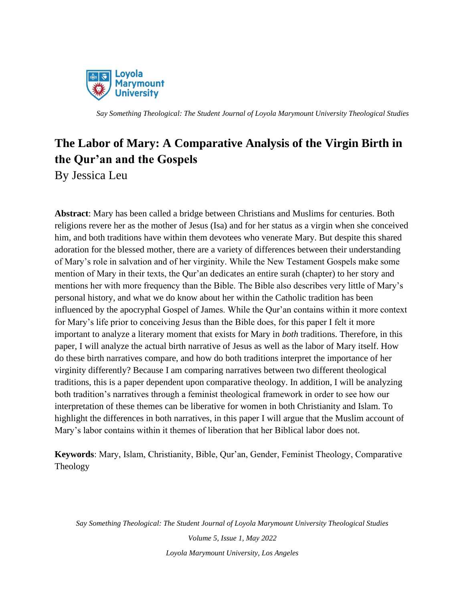

## **The Labor of Mary: A Comparative Analysis of the Virgin Birth in the Qur'an and the Gospels** By Jessica Leu

**Abstract**: Mary has been called a bridge between Christians and Muslims for centuries. Both religions revere her as the mother of Jesus (Isa) and for her status as a virgin when she conceived him, and both traditions have within them devotees who venerate Mary. But despite this shared adoration for the blessed mother, there are a variety of differences between their understanding of Mary's role in salvation and of her virginity. While the New Testament Gospels make some mention of Mary in their texts, the Qur'an dedicates an entire surah (chapter) to her story and mentions her with more frequency than the Bible. The Bible also describes very little of Mary's personal history, and what we do know about her within the Catholic tradition has been influenced by the apocryphal Gospel of James. While the Qur'an contains within it more context for Mary's life prior to conceiving Jesus than the Bible does, for this paper I felt it more important to analyze a literary moment that exists for Mary in *both* traditions. Therefore, in this paper, I will analyze the actual birth narrative of Jesus as well as the labor of Mary itself. How do these birth narratives compare, and how do both traditions interpret the importance of her virginity differently? Because I am comparing narratives between two different theological traditions, this is a paper dependent upon comparative theology. In addition, I will be analyzing both tradition's narratives through a feminist theological framework in order to see how our interpretation of these themes can be liberative for women in both Christianity and Islam. To highlight the differences in both narratives, in this paper I will argue that the Muslim account of Mary's labor contains within it themes of liberation that her Biblical labor does not.

**Keywords**: Mary, Islam, Christianity, Bible, Qur'an, Gender, Feminist Theology, Comparative Theology

*Say Something Theological: The Student Journal of Loyola Marymount University Theological Studies*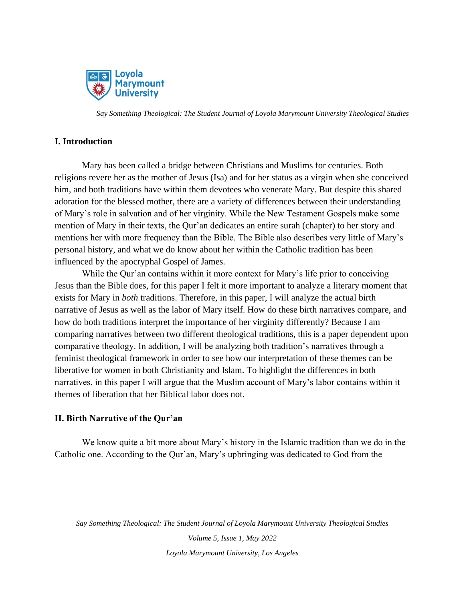

#### **I. Introduction**

Mary has been called a bridge between Christians and Muslims for centuries. Both religions revere her as the mother of Jesus (Isa) and for her status as a virgin when she conceived him, and both traditions have within them devotees who venerate Mary. But despite this shared adoration for the blessed mother, there are a variety of differences between their understanding of Mary's role in salvation and of her virginity. While the New Testament Gospels make some mention of Mary in their texts, the Qur'an dedicates an entire surah (chapter) to her story and mentions her with more frequency than the Bible. The Bible also describes very little of Mary's personal history, and what we do know about her within the Catholic tradition has been influenced by the apocryphal Gospel of James.

While the Qur'an contains within it more context for Mary's life prior to conceiving Jesus than the Bible does, for this paper I felt it more important to analyze a literary moment that exists for Mary in *both* traditions. Therefore, in this paper, I will analyze the actual birth narrative of Jesus as well as the labor of Mary itself. How do these birth narratives compare, and how do both traditions interpret the importance of her virginity differently? Because I am comparing narratives between two different theological traditions, this is a paper dependent upon comparative theology. In addition, I will be analyzing both tradition's narratives through a feminist theological framework in order to see how our interpretation of these themes can be liberative for women in both Christianity and Islam. To highlight the differences in both narratives, in this paper I will argue that the Muslim account of Mary's labor contains within it themes of liberation that her Biblical labor does not.

#### **II. Birth Narrative of the Qur'an**

We know quite a bit more about Mary's history in the Islamic tradition than we do in the Catholic one. According to the Qur'an, Mary's upbringing was dedicated to God from the

*Say Something Theological: The Student Journal of Loyola Marymount University Theological Studies*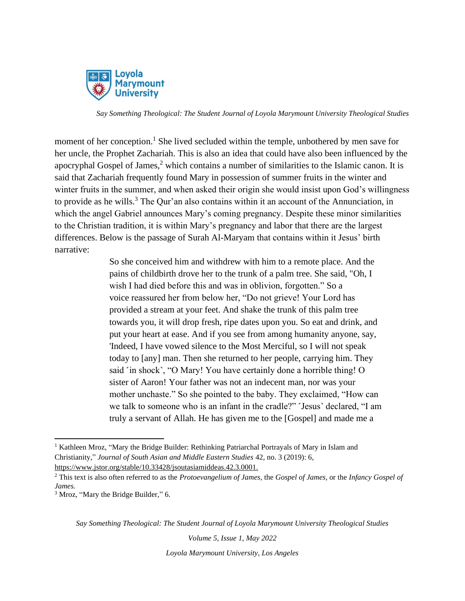

moment of her conception.<sup>1</sup> She lived secluded within the temple, unbothered by men save for her uncle, the Prophet Zachariah. This is also an idea that could have also been influenced by the apocryphal Gospel of James,<sup>2</sup> which contains a number of similarities to the Islamic canon. It is said that Zachariah frequently found Mary in possession of summer fruits in the winter and winter fruits in the summer, and when asked their origin she would insist upon God's willingness to provide as he wills.<sup>3</sup> The Our'an also contains within it an account of the Annunciation, in which the angel Gabriel announces Mary's coming pregnancy. Despite these minor similarities to the Christian tradition, it is within Mary's pregnancy and labor that there are the largest differences. Below is the passage of Surah Al-Maryam that contains within it Jesus' birth narrative:

> So she conceived him and withdrew with him to a remote place. And the pains of childbirth drove her to the trunk of a palm tree. She said, "Oh, I wish I had died before this and was in oblivion, forgotten." So a voice reassured her from below her, "Do not grieve! Your Lord has provided a stream at your feet. And shake the trunk of this palm tree towards you, it will drop fresh, ripe dates upon you. So eat and drink, and put your heart at ease. And if you see from among humanity anyone, say, 'Indeed, I have vowed silence to the Most Merciful, so I will not speak today to [any] man. Then she returned to her people, carrying him. They said 'in shock', "O Mary! You have certainly done a horrible thing! O sister of Aaron! Your father was not an indecent man, nor was your mother unchaste." So she pointed to the baby. They exclaimed, "How can we talk to someone who is an infant in the cradle?" 'Jesus' declared, "I am truly a servant of Allah. He has given me to the [Gospel] and made me a

*Say Something Theological: The Student Journal of Loyola Marymount University Theological Studies*

*Volume 5, Issue 1, May 2022*

<sup>&</sup>lt;sup>1</sup> Kathleen Mroz, "Mary the Bridge Builder: Rethinking Patriarchal Portrayals of Mary in Islam and Christianity," *Journal of South Asian and Middle Eastern Studies* 42, no. 3 (2019): 6, <https://www.jstor.org/stable/10.33428/jsoutasiamiddeas.42.3.0001.>

<sup>2</sup> This text is also often referred to as the *Protoevangelium of James*, the *Gospel of James*, or the *Infancy Gospel of James.*

<sup>3</sup> Mroz, "Mary the Bridge Builder," 6.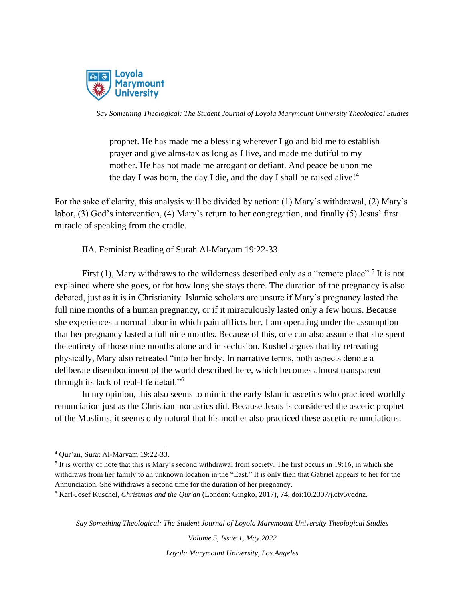

prophet. He has made me a blessing wherever I go and bid me to establish prayer and give alms-tax as long as I live, and made me dutiful to my mother. He has not made me arrogant or defiant. And peace be upon me the day I was born, the day I die, and the day I shall be raised alive! $4$ 

For the sake of clarity, this analysis will be divided by action: (1) Mary's withdrawal, (2) Mary's labor, (3) God's intervention, (4) Mary's return to her congregation, and finally (5) Jesus' first miracle of speaking from the cradle.

## IIA. Feminist Reading of Surah Al-Maryam 19:22-33

First  $(1)$ , Mary withdraws to the wilderness described only as a "remote place".<sup>5</sup> It is not explained where she goes, or for how long she stays there. The duration of the pregnancy is also debated, just as it is in Christianity. Islamic scholars are unsure if Mary's pregnancy lasted the full nine months of a human pregnancy, or if it miraculously lasted only a few hours. Because she experiences a normal labor in which pain afflicts her, I am operating under the assumption that her pregnancy lasted a full nine months. Because of this, one can also assume that she spent the entirety of those nine months alone and in seclusion. Kushel argues that by retreating physically, Mary also retreated "into her body. In narrative terms, both aspects denote a deliberate disembodiment of the world described here, which becomes almost transparent through its lack of real-life detail."<sup>6</sup>

In my opinion, this also seems to mimic the early Islamic ascetics who practiced worldly renunciation just as the Christian monastics did. Because Jesus is considered the ascetic prophet of the Muslims, it seems only natural that his mother also practiced these ascetic renunciations.

*Say Something Theological: The Student Journal of Loyola Marymount University Theological Studies*

*Volume 5, Issue 1, May 2022*

<sup>4</sup> Qur'an, Surat Al-Maryam 19:22-33.

<sup>&</sup>lt;sup>5</sup> It is worthy of note that this is Mary's second withdrawal from society. The first occurs in 19:16, in which she withdraws from her family to an unknown location in the "East." It is only then that Gabriel appears to her for the Annunciation. She withdraws a second time for the duration of her pregnancy.

<sup>6</sup> Karl-Josef Kuschel, *Christmas and the Qur'an* (London: Gingko, 2017), 74, doi:10.2307/j.ctv5vddnz.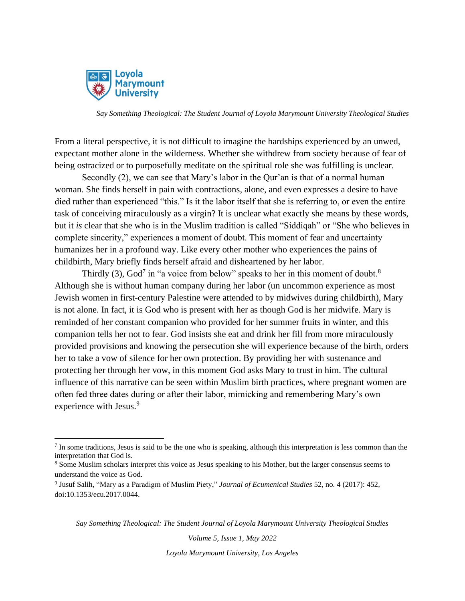

From a literal perspective, it is not difficult to imagine the hardships experienced by an unwed, expectant mother alone in the wilderness. Whether she withdrew from society because of fear of being ostracized or to purposefully meditate on the spiritual role she was fulfilling is unclear.

Secondly (2), we can see that Mary's labor in the Qur'an is that of a normal human woman. She finds herself in pain with contractions, alone, and even expresses a desire to have died rather than experienced "this." Is it the labor itself that she is referring to, or even the entire task of conceiving miraculously as a virgin? It is unclear what exactly she means by these words, but it *is* clear that she who is in the Muslim tradition is called "Siddiqah" or "She who believes in complete sincerity," experiences a moment of doubt. This moment of fear and uncertainty humanizes her in a profound way. Like every other mother who experiences the pains of childbirth, Mary briefly finds herself afraid and disheartened by her labor.

Thirdly (3), God<sup>7</sup> in "a voice from below" speaks to her in this moment of doubt.<sup>8</sup> Although she is without human company during her labor (un uncommon experience as most Jewish women in first-century Palestine were attended to by midwives during childbirth), Mary is not alone. In fact, it is God who is present with her as though God is her midwife. Mary is reminded of her constant companion who provided for her summer fruits in winter, and this companion tells her not to fear. God insists she eat and drink her fill from more miraculously provided provisions and knowing the persecution she will experience because of the birth, orders her to take a vow of silence for her own protection. By providing her with sustenance and protecting her through her vow, in this moment God asks Mary to trust in him. The cultural influence of this narrative can be seen within Muslim birth practices, where pregnant women are often fed three dates during or after their labor, mimicking and remembering Mary's own experience with Jesus.<sup>9</sup>

*Say Something Theological: The Student Journal of Loyola Marymount University Theological Studies*

*Volume 5, Issue 1, May 2022*

 $<sup>7</sup>$  In some traditions, Jesus is said to be the one who is speaking, although this interpretation is less common than the</sup> interpretation that God is.

<sup>8</sup> Some Muslim scholars interpret this voice as Jesus speaking to his Mother, but the larger consensus seems to understand the voice as God.

<sup>9</sup> Jusuf Salih, "Mary as a Paradigm of Muslim Piety," *Journal of Ecumenical Studies* 52, no. 4 (2017): 452, doi:10.1353/ecu.2017.0044.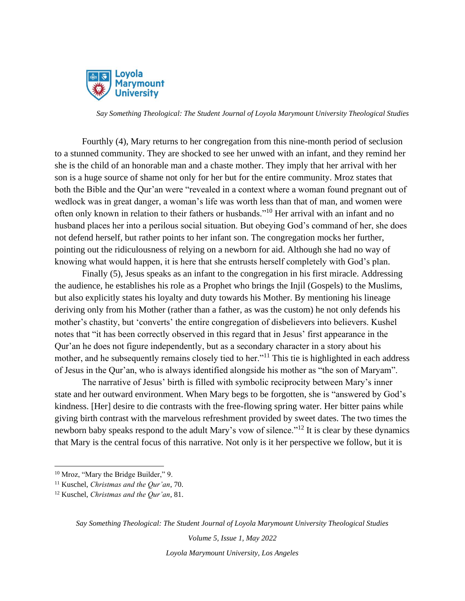

Fourthly (4), Mary returns to her congregation from this nine-month period of seclusion to a stunned community. They are shocked to see her unwed with an infant, and they remind her she is the child of an honorable man and a chaste mother. They imply that her arrival with her son is a huge source of shame not only for her but for the entire community. Mroz states that both the Bible and the Qur'an were "revealed in a context where a woman found pregnant out of wedlock was in great danger, a woman's life was worth less than that of man, and women were often only known in relation to their fathers or husbands."<sup>10</sup> Her arrival with an infant and no husband places her into a perilous social situation. But obeying God's command of her, she does not defend herself, but rather points to her infant son. The congregation mocks her further, pointing out the ridiculousness of relying on a newborn for aid. Although she had no way of knowing what would happen, it is here that she entrusts herself completely with God's plan.

Finally (5), Jesus speaks as an infant to the congregation in his first miracle. Addressing the audience, he establishes his role as a Prophet who brings the Injil (Gospels) to the Muslims, but also explicitly states his loyalty and duty towards his Mother. By mentioning his lineage deriving only from his Mother (rather than a father, as was the custom) he not only defends his mother's chastity, but 'converts' the entire congregation of disbelievers into believers. Kushel notes that "it has been correctly observed in this regard that in Jesus' first appearance in the Qur'an he does not figure independently, but as a secondary character in a story about his mother, and he subsequently remains closely tied to her."<sup>11</sup> This tie is highlighted in each address of Jesus in the Qur'an, who is always identified alongside his mother as "the son of Maryam".

The narrative of Jesus' birth is filled with symbolic reciprocity between Mary's inner state and her outward environment. When Mary begs to be forgotten, she is "answered by God's kindness. [Her] desire to die contrasts with the free-flowing spring water. Her bitter pains while giving birth contrast with the marvelous refreshment provided by sweet dates. The two times the newborn baby speaks respond to the adult Mary's vow of silence."<sup>12</sup> It is clear by these dynamics that Mary is the central focus of this narrative. Not only is it her perspective we follow, but it is

*Say Something Theological: The Student Journal of Loyola Marymount University Theological Studies*

*Volume 5, Issue 1, May 2022*

<sup>&</sup>lt;sup>10</sup> Mroz, "Mary the Bridge Builder," 9.

<sup>11</sup> Kuschel, *Christmas and the Qur'an*, 70.

<sup>12</sup> Kuschel, *Christmas and the Qur'an*, 81.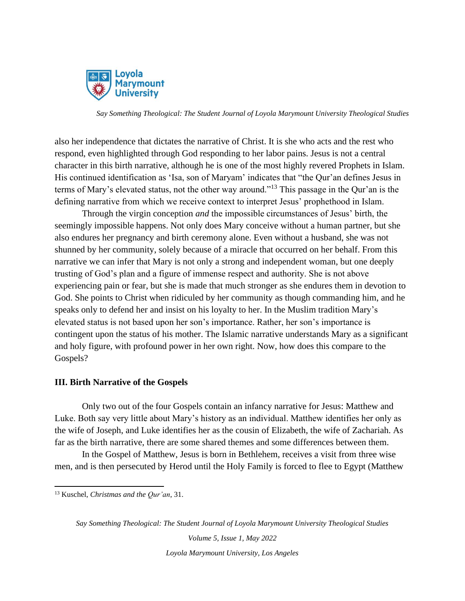

also her independence that dictates the narrative of Christ. It is she who acts and the rest who respond, even highlighted through God responding to her labor pains. Jesus is not a central character in this birth narrative, although he is one of the most highly revered Prophets in Islam. His continued identification as 'Isa, son of Maryam' indicates that "the Qur'an defines Jesus in terms of Mary's elevated status, not the other way around."<sup>13</sup> This passage in the Qur'an is the defining narrative from which we receive context to interpret Jesus' prophethood in Islam.

Through the virgin conception *and* the impossible circumstances of Jesus' birth, the seemingly impossible happens. Not only does Mary conceive without a human partner, but she also endures her pregnancy and birth ceremony alone. Even without a husband, she was not shunned by her community, solely because of a miracle that occurred on her behalf. From this narrative we can infer that Mary is not only a strong and independent woman, but one deeply trusting of God's plan and a figure of immense respect and authority. She is not above experiencing pain or fear, but she is made that much stronger as she endures them in devotion to God. She points to Christ when ridiculed by her community as though commanding him, and he speaks only to defend her and insist on his loyalty to her. In the Muslim tradition Mary's elevated status is not based upon her son's importance. Rather, her son's importance is contingent upon the status of his mother. The Islamic narrative understands Mary as a significant and holy figure, with profound power in her own right. Now, how does this compare to the Gospels?

#### **III. Birth Narrative of the Gospels**

Only two out of the four Gospels contain an infancy narrative for Jesus: Matthew and Luke. Both say very little about Mary's history as an individual. Matthew identifies her only as the wife of Joseph, and Luke identifies her as the cousin of Elizabeth, the wife of Zachariah. As far as the birth narrative, there are some shared themes and some differences between them.

In the Gospel of Matthew, Jesus is born in Bethlehem, receives a visit from three wise men, and is then persecuted by Herod until the Holy Family is forced to flee to Egypt (Matthew

*Say Something Theological: The Student Journal of Loyola Marymount University Theological Studies*

<sup>13</sup> Kuschel, *Christmas and the Qur'an*, 31.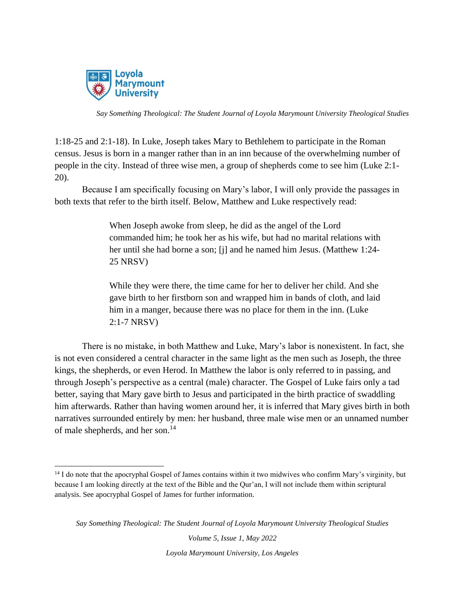

1:18-25 and 2:1-18). In Luke, Joseph takes Mary to Bethlehem to participate in the Roman census. Jesus is born in a manger rather than in an inn because of the overwhelming number of people in the city. Instead of three wise men, a group of shepherds come to see him (Luke 2:1- 20).

Because I am specifically focusing on Mary's labor, I will only provide the passages in both texts that refer to the birth itself. Below, Matthew and Luke respectively read:

> When Joseph awoke from sleep, he did as the angel of the Lord commanded him; he took her as his wife, but had no marital relations with her until she had borne a son; [j] and he named him Jesus. (Matthew 1:24- 25 NRSV)

> While they were there, the time came for her to deliver her child. And she gave birth to her firstborn son and wrapped him in bands of cloth, and laid him in a manger, because there was no place for them in the inn. (Luke 2:1-7 NRSV)

There is no mistake, in both Matthew and Luke, Mary's labor is nonexistent. In fact, she is not even considered a central character in the same light as the men such as Joseph, the three kings, the shepherds, or even Herod. In Matthew the labor is only referred to in passing, and through Joseph's perspective as a central (male) character. The Gospel of Luke fairs only a tad better, saying that Mary gave birth to Jesus and participated in the birth practice of swaddling him afterwards. Rather than having women around her, it is inferred that Mary gives birth in both narratives surrounded entirely by men: her husband, three male wise men or an unnamed number of male shepherds, and her son.<sup>14</sup>

*Say Something Theological: The Student Journal of Loyola Marymount University Theological Studies*

<sup>&</sup>lt;sup>14</sup> I do note that the apocryphal Gospel of James contains within it two midwives who confirm Mary's virginity, but because I am looking directly at the text of the Bible and the Qur'an, I will not include them within scriptural analysis. See apocryphal Gospel of James for further information.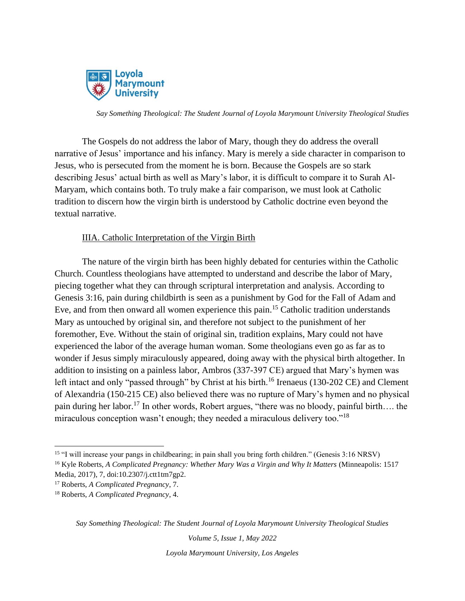

The Gospels do not address the labor of Mary, though they do address the overall narrative of Jesus' importance and his infancy. Mary is merely a side character in comparison to Jesus, who is persecuted from the moment he is born. Because the Gospels are so stark describing Jesus' actual birth as well as Mary's labor, it is difficult to compare it to Surah Al-Maryam, which contains both. To truly make a fair comparison, we must look at Catholic tradition to discern how the virgin birth is understood by Catholic doctrine even beyond the textual narrative.

## IIIA. Catholic Interpretation of the Virgin Birth

The nature of the virgin birth has been highly debated for centuries within the Catholic Church. Countless theologians have attempted to understand and describe the labor of Mary, piecing together what they can through scriptural interpretation and analysis. According to Genesis 3:16, pain during childbirth is seen as a punishment by God for the Fall of Adam and Eve, and from then onward all women experience this pain.<sup>15</sup> Catholic tradition understands Mary as untouched by original sin, and therefore not subject to the punishment of her foremother, Eve. Without the stain of original sin, tradition explains, Mary could not have experienced the labor of the average human woman. Some theologians even go as far as to wonder if Jesus simply miraculously appeared, doing away with the physical birth altogether. In addition to insisting on a painless labor, Ambros (337-397 CE) argued that Mary's hymen was left intact and only "passed through" by Christ at his birth.<sup>16</sup> Irenaeus (130-202 CE) and Clement of Alexandria (150-215 CE) also believed there was no rupture of Mary's hymen and no physical pain during her labor.<sup>17</sup> In other words, Robert argues, "there was no bloody, painful birth…. the miraculous conception wasn't enough; they needed a miraculous delivery too."<sup>18</sup>

*Volume 5, Issue 1, May 2022*

<sup>15</sup> "I will increase your pangs in childbearing; in pain shall you bring forth children." (Genesis 3:16 NRSV)

<sup>16</sup> Kyle Roberts, *A Complicated Pregnancy: Whether Mary Was a Virgin and Why It Matters* (Minneapolis: 1517 Media, 2017), 7, doi:10.2307/j.ctt1tm7gp2.

<sup>17</sup> Roberts, *A Complicated Pregnancy*, 7.

<sup>18</sup> Roberts, *A Complicated Pregnancy*, 4.

*Say Something Theological: The Student Journal of Loyola Marymount University Theological Studies*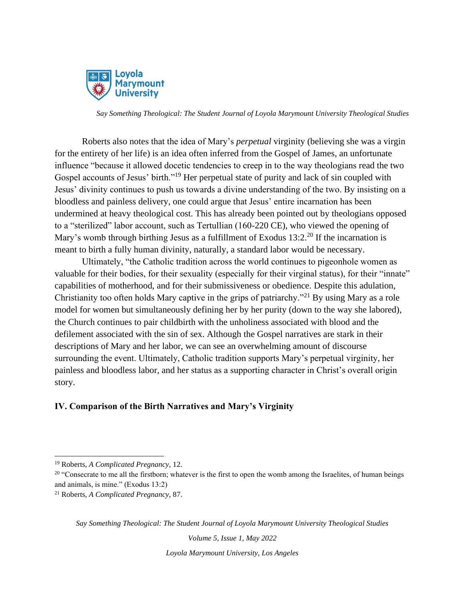

Roberts also notes that the idea of Mary's *perpetual* virginity (believing she was a virgin for the entirety of her life) is an idea often inferred from the Gospel of James, an unfortunate influence "because it allowed docetic tendencies to creep in to the way theologians read the two Gospel accounts of Jesus' birth."<sup>19</sup> Her perpetual state of purity and lack of sin coupled with Jesus' divinity continues to push us towards a divine understanding of the two. By insisting on a bloodless and painless delivery, one could argue that Jesus' entire incarnation has been undermined at heavy theological cost. This has already been pointed out by theologians opposed to a "sterilized" labor account, such as Tertullian (160-220 CE), who viewed the opening of Mary's womb through birthing Jesus as a fulfillment of Exodus  $13:2.^{20}$  If the incarnation is meant to birth a fully human divinity, naturally, a standard labor would be necessary.

Ultimately, "the Catholic tradition across the world continues to pigeonhole women as valuable for their bodies, for their sexuality (especially for their virginal status), for their "innate" capabilities of motherhood, and for their submissiveness or obedience. Despite this adulation, Christianity too often holds Mary captive in the grips of patriarchy."<sup>21</sup> By using Mary as a role model for women but simultaneously defining her by her purity (down to the way she labored), the Church continues to pair childbirth with the unholiness associated with blood and the defilement associated with the sin of sex. Although the Gospel narratives are stark in their descriptions of Mary and her labor, we can see an overwhelming amount of discourse surrounding the event. Ultimately, Catholic tradition supports Mary's perpetual virginity, her painless and bloodless labor, and her status as a supporting character in Christ's overall origin story.

#### **IV. Comparison of the Birth Narratives and Mary's Virginity**

*Volume 5, Issue 1, May 2022*

<sup>19</sup> Roberts, *A Complicated Pregnancy,* 12.

<sup>&</sup>lt;sup>20</sup> "Consecrate to me all the firstborn; whatever is the first to open the womb among the Israelites, of human beings and animals, is mine." (Exodus 13:2)

<sup>21</sup> Roberts, *A Complicated Pregnancy,* 87.

*Say Something Theological: The Student Journal of Loyola Marymount University Theological Studies*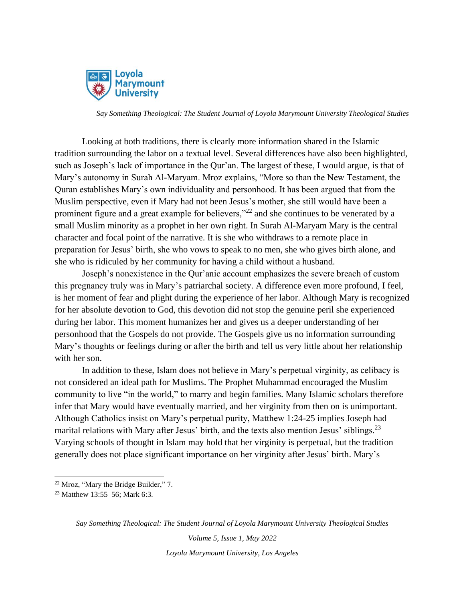

Looking at both traditions, there is clearly more information shared in the Islamic tradition surrounding the labor on a textual level. Several differences have also been highlighted, such as Joseph's lack of importance in the Qur'an. The largest of these, I would argue, is that of Mary's autonomy in Surah Al-Maryam. Mroz explains, "More so than the New Testament, the Quran establishes Mary's own individuality and personhood. It has been argued that from the Muslim perspective, even if Mary had not been Jesus's mother, she still would have been a prominent figure and a great example for believers,"<sup>22</sup> and she continues to be venerated by a small Muslim minority as a prophet in her own right. In Surah Al-Maryam Mary is the central character and focal point of the narrative. It is she who withdraws to a remote place in preparation for Jesus' birth, she who vows to speak to no men, she who gives birth alone, and she who is ridiculed by her community for having a child without a husband.

Joseph's nonexistence in the Qur'anic account emphasizes the severe breach of custom this pregnancy truly was in Mary's patriarchal society. A difference even more profound, I feel, is her moment of fear and plight during the experience of her labor. Although Mary is recognized for her absolute devotion to God, this devotion did not stop the genuine peril she experienced during her labor. This moment humanizes her and gives us a deeper understanding of her personhood that the Gospels do not provide. The Gospels give us no information surrounding Mary's thoughts or feelings during or after the birth and tell us very little about her relationship with her son.

In addition to these, Islam does not believe in Mary's perpetual virginity, as celibacy is not considered an ideal path for Muslims. The Prophet Muhammad encouraged the Muslim community to live "in the world," to marry and begin families. Many Islamic scholars therefore infer that Mary would have eventually married, and her virginity from then on is unimportant. Although Catholics insist on Mary's perpetual purity, Matthew 1:24-25 implies Joseph had marital relations with Mary after Jesus' birth, and the texts also mention Jesus' siblings.<sup>23</sup> Varying schools of thought in Islam may hold that her virginity is perpetual, but the tradition generally does not place significant importance on her virginity after Jesus' birth. Mary's

*Say Something Theological: The Student Journal of Loyola Marymount University Theological Studies*

<sup>22</sup> Mroz, "Mary the Bridge Builder," 7.

<sup>23</sup> Matthew 13:55–56; Mark 6:3.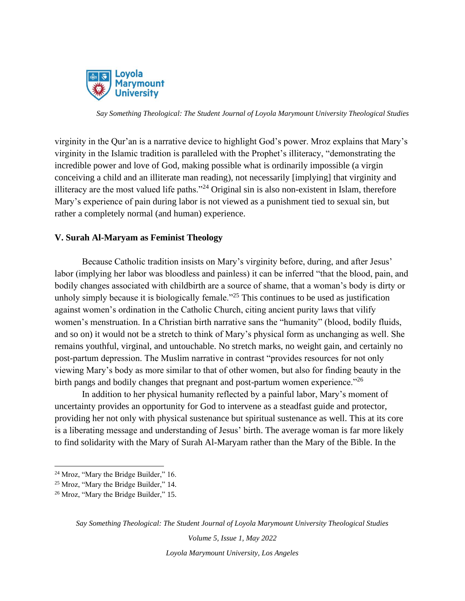

virginity in the Qur'an is a narrative device to highlight God's power. Mroz explains that Mary's virginity in the Islamic tradition is paralleled with the Prophet's illiteracy, "demonstrating the incredible power and love of God, making possible what is ordinarily impossible (a virgin conceiving a child and an illiterate man reading), not necessarily [implying] that virginity and illiteracy are the most valued life paths."<sup>24</sup> Original sin is also non-existent in Islam, therefore Mary's experience of pain during labor is not viewed as a punishment tied to sexual sin, but rather a completely normal (and human) experience.

### **V. Surah Al-Maryam as Feminist Theology**

Because Catholic tradition insists on Mary's virginity before, during, and after Jesus' labor (implying her labor was bloodless and painless) it can be inferred "that the blood, pain, and bodily changes associated with childbirth are a source of shame, that a woman's body is dirty or unholy simply because it is biologically female.<sup>"25</sup> This continues to be used as justification against women's ordination in the Catholic Church, citing ancient purity laws that vilify women's menstruation. In a Christian birth narrative sans the "humanity" (blood, bodily fluids, and so on) it would not be a stretch to think of Mary's physical form as unchanging as well. She remains youthful, virginal, and untouchable. No stretch marks, no weight gain, and certainly no post-partum depression. The Muslim narrative in contrast "provides resources for not only viewing Mary's body as more similar to that of other women, but also for finding beauty in the birth pangs and bodily changes that pregnant and post-partum women experience."<sup>26</sup>

In addition to her physical humanity reflected by a painful labor, Mary's moment of uncertainty provides an opportunity for God to intervene as a steadfast guide and protector, providing her not only with physical sustenance but spiritual sustenance as well. This at its core is a liberating message and understanding of Jesus' birth. The average woman is far more likely to find solidarity with the Mary of Surah Al-Maryam rather than the Mary of the Bible. In the

*Say Something Theological: The Student Journal of Loyola Marymount University Theological Studies*

*Volume 5, Issue 1, May 2022*

<sup>&</sup>lt;sup>24</sup> Mroz, "Mary the Bridge Builder," 16.

<sup>25</sup> Mroz, "Mary the Bridge Builder," 14.

<sup>&</sup>lt;sup>26</sup> Mroz, "Mary the Bridge Builder," 15.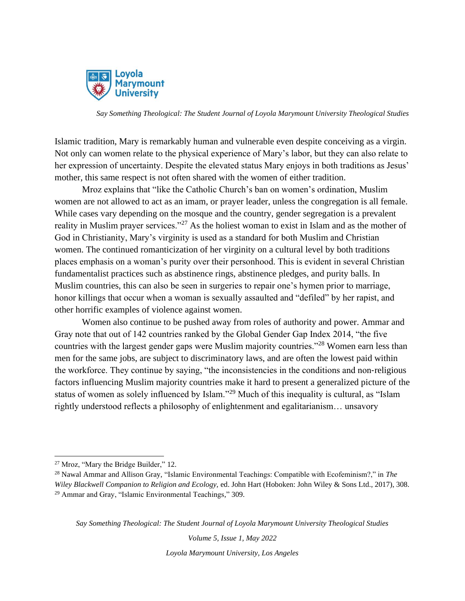

Islamic tradition, Mary is remarkably human and vulnerable even despite conceiving as a virgin. Not only can women relate to the physical experience of Mary's labor, but they can also relate to her expression of uncertainty. Despite the elevated status Mary enjoys in both traditions as Jesus' mother, this same respect is not often shared with the women of either tradition.

Mroz explains that "like the Catholic Church's ban on women's ordination, Muslim women are not allowed to act as an imam, or prayer leader, unless the congregation is all female. While cases vary depending on the mosque and the country, gender segregation is a prevalent reality in Muslim prayer services."<sup>27</sup> As the holiest woman to exist in Islam and as the mother of God in Christianity, Mary's virginity is used as a standard for both Muslim and Christian women. The continued romanticization of her virginity on a cultural level by both traditions places emphasis on a woman's purity over their personhood. This is evident in several Christian fundamentalist practices such as abstinence rings, abstinence pledges, and purity balls. In Muslim countries, this can also be seen in surgeries to repair one's hymen prior to marriage, honor killings that occur when a woman is sexually assaulted and "defiled" by her rapist, and other horrific examples of violence against women.

Women also continue to be pushed away from roles of authority and power. Ammar and Gray note that out of 142 countries ranked by the Global Gender Gap Index 2014, "the five countries with the largest gender gaps were Muslim majority countries."<sup>28</sup> Women earn less than men for the same jobs, are subject to discriminatory laws, and are often the lowest paid within the workforce. They continue by saying, "the inconsistencies in the conditions and non‐religious factors influencing Muslim majority countries make it hard to present a generalized picture of the status of women as solely influenced by Islam."<sup>29</sup> Much of this inequality is cultural, as "Islam rightly understood reflects a philosophy of enlightenment and egalitarianism… unsavory

*Say Something Theological: The Student Journal of Loyola Marymount University Theological Studies*

*Volume 5, Issue 1, May 2022*

<sup>27</sup> Mroz, "Mary the Bridge Builder," 12.

<sup>28</sup> Nawal Ammar and Allison Gray, "Islamic Environmental Teachings: Compatible with Ecofeminism?," in *The Wiley Blackwell Companion to Religion and Ecology,* ed. John Hart (Hoboken: John Wiley & Sons Ltd., 2017), 308. <sup>29</sup> Ammar and Gray, "Islamic Environmental Teachings," 309.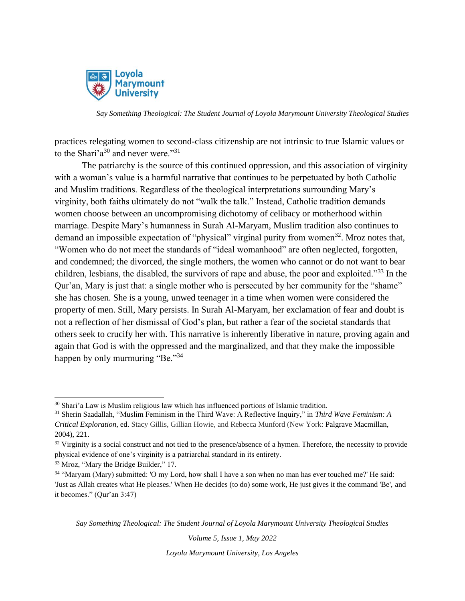

practices relegating women to second-class citizenship are not intrinsic to true Islamic values or to the Shari'a<sup>30</sup> and never were."<sup>31</sup>

The patriarchy is the source of this continued oppression, and this association of virginity with a woman's value is a harmful narrative that continues to be perpetuated by both Catholic and Muslim traditions. Regardless of the theological interpretations surrounding Mary's virginity, both faiths ultimately do not "walk the talk." Instead, Catholic tradition demands women choose between an uncompromising dichotomy of celibacy or motherhood within marriage. Despite Mary's humanness in Surah Al-Maryam, Muslim tradition also continues to demand an impossible expectation of "physical" virginal purity from women<sup>32</sup>. Mroz notes that, "Women who do not meet the standards of "ideal womanhood" are often neglected, forgotten, and condemned; the divorced, the single mothers, the women who cannot or do not want to bear children, lesbians, the disabled, the survivors of rape and abuse, the poor and exploited."<sup>33</sup> In the Qur'an, Mary is just that: a single mother who is persecuted by her community for the "shame" she has chosen. She is a young, unwed teenager in a time when women were considered the property of men. Still, Mary persists. In Surah Al-Maryam, her exclamation of fear and doubt is not a reflection of her dismissal of God's plan, but rather a fear of the societal standards that others seek to crucify her with. This narrative is inherently liberative in nature, proving again and again that God is with the oppressed and the marginalized, and that they make the impossible happen by only murmuring "Be."<sup>34</sup>

<sup>33</sup> Mroz, "Mary the Bridge Builder," 17.

*Say Something Theological: The Student Journal of Loyola Marymount University Theological Studies*

*Volume 5, Issue 1, May 2022*

<sup>&</sup>lt;sup>30</sup> Shari'a Law is Muslim religious law which has influenced portions of Islamic tradition.

<sup>31</sup> Sherin Saadallah, "Muslim Feminism in the Third Wave: A Reflective Inquiry," in *Third Wave Feminism: A Critical Exploration*, ed. Stacy Gillis, Gillian Howie, and Rebecca Munford (New York: Palgrave Macmillan, 2004), 221.

 $32$  Virginity is a social construct and not tied to the presence/absence of a hymen. Therefore, the necessity to provide physical evidence of one's virginity is a patriarchal standard in its entirety.

<sup>34</sup> "Maryam (Mary) submitted: 'O my Lord, how shall I have a son when no man has ever touched me?' He said: 'Just as Allah creates what He pleases.' When He decides (to do) some work, He just gives it the command 'Be', and it becomes." (Qur'an 3:47)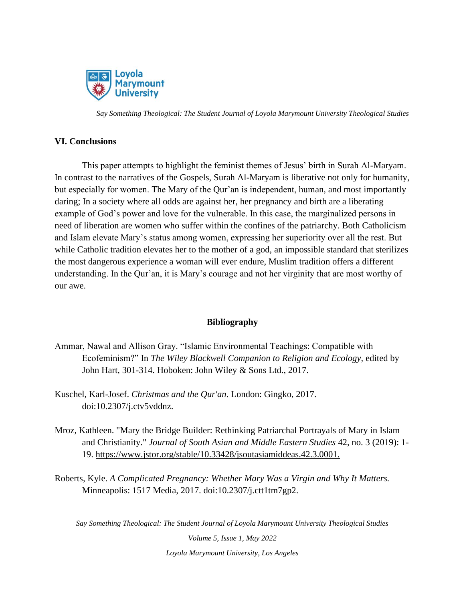

#### **VI. Conclusions**

This paper attempts to highlight the feminist themes of Jesus' birth in Surah Al-Maryam. In contrast to the narratives of the Gospels, Surah Al-Maryam is liberative not only for humanity, but especially for women. The Mary of the Qur'an is independent, human, and most importantly daring; In a society where all odds are against her, her pregnancy and birth are a liberating example of God's power and love for the vulnerable. In this case, the marginalized persons in need of liberation are women who suffer within the confines of the patriarchy. Both Catholicism and Islam elevate Mary's status among women, expressing her superiority over all the rest. But while Catholic tradition elevates her to the mother of a god, an impossible standard that sterilizes the most dangerous experience a woman will ever endure, Muslim tradition offers a different understanding. In the Qur'an, it is Mary's courage and not her virginity that are most worthy of our awe.

## **Bibliography**

- Ammar, Nawal and Allison Gray. "Islamic Environmental Teachings: Compatible with Ecofeminism?" In *The Wiley Blackwell Companion to Religion and Ecology,* edited by John Hart, 301-314. Hoboken: John Wiley & Sons Ltd., 2017.
- Kuschel, Karl-Josef. *Christmas and the Qur'an*. London: Gingko, 2017. doi:10.2307/j.ctv5vddnz.
- Mroz, Kathleen. "Mary the Bridge Builder: Rethinking Patriarchal Portrayals of Mary in Islam and Christianity." *Journal of South Asian and Middle Eastern Studies* 42, no. 3 (2019): 1- 19.<https://www.jstor.org/stable/10.33428/jsoutasiamiddeas.42.3.0001.>
- Roberts, Kyle. *A Complicated Pregnancy: Whether Mary Was a Virgin and Why It Matters.*  Minneapolis: 1517 Media, 2017. doi:10.2307/j.ctt1tm7gp2.

*Say Something Theological: The Student Journal of Loyola Marymount University Theological Studies*